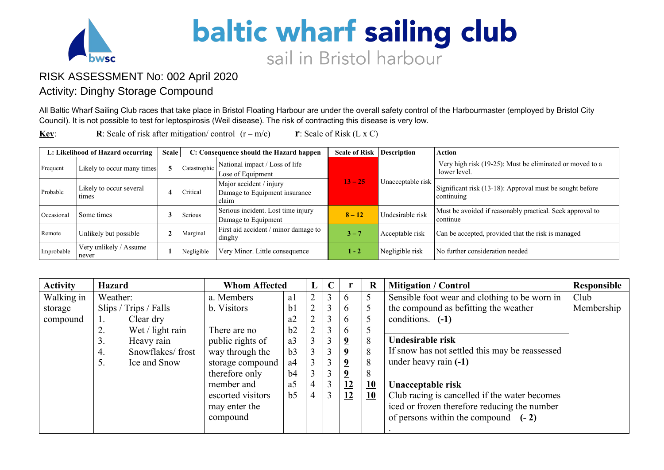

## **baltic wharf sailing club** sail in Bristol harbour

## RISK ASSESSMENT No: 002 April 2020

## Activity: Dinghy Storage Compound

All Baltic Wharf Sailing Club races that take place in Bristol Floating Harbour are under the overall safety control of the Harbourmaster (employed by Bristol City Council). It is not possible to test for leptospirosis (Weil disease). The risk of contracting this disease is very low.

**Key: R**: Scale of risk after mitigation/ control  $(r - m/c)$  **r**: Scale of Risk (L x C)

| L: Likelihood of Hazard occurring |                                  | <b>Scale</b> |              | C: Consequence should the Hazard happen                           | <b>Scale of Risk</b> | <b>Description</b> | <b>Action</b>                                                            |
|-----------------------------------|----------------------------------|--------------|--------------|-------------------------------------------------------------------|----------------------|--------------------|--------------------------------------------------------------------------|
| Frequent                          | Likely to occur many times       |              | Catastrophic | National impact / Loss of life<br>Lose of Equipment               |                      |                    | Very high risk (19-25): Must be eliminated or moved to a<br>lower level. |
| Probable                          | Likely to occur several<br>times |              | Critical     | Major accident / injury<br>Damage to Equipment insurance<br>claim | $13 - 25$            | Unacceptable risk  | Significant risk (13-18): Approval must be sought before<br>  continuing |
| Occasional                        | Some times                       |              | Serious      | Serious incident. Lost time injury<br>Damage to Equipment         | $8 - 12$             | Undesirable risk   | Must be avoided if reasonably practical. Seek approval to<br>continue    |
| Remote                            | Unlikely but possible            |              | Marginal     | First aid accident / minor damage to<br>dinghy                    | $3 - 7$              | Acceptable risk    | Can be accepted, provided that the risk is managed                       |
| Improbable                        | Very unlikely / Assume<br>never  |              | Negligible   | Very Minor. Little consequence                                    | $1 - 2$              | Negligible risk    | No further consideration needed                                          |

| <b>Activity</b> | <b>Hazard</b>          |  | <b>Whom Affected</b> |                | L              | $\mathbf C$ |                | $\mathbf R$     | <b>Mitigation / Control</b>                    | Responsible |
|-----------------|------------------------|--|----------------------|----------------|----------------|-------------|----------------|-----------------|------------------------------------------------|-------------|
| Walking in      | Weather:               |  | a. Members           | a1             | $\overline{2}$ | 3           | 6              | $5\overline{)}$ | Sensible foot wear and clothing to be worn in  | Club        |
| storage         | Slips / Trips / Falls  |  | b. Visitors          | b <sub>1</sub> |                | 3           | 6              | 5               | the compound as befitting the weather          | Membership  |
| compound        | Clear dry              |  |                      | a2             |                | 3           | $\mathfrak b$  | 5               | conditions. $(-1)$                             |             |
|                 | Wet / light rain<br>2. |  | There are no         | b2             |                | 3           | $\mathfrak b$  | 5               |                                                |             |
|                 | 3.<br>Heavy rain       |  | public rights of     | a <sub>3</sub> |                | 3           | $\overline{9}$ | 8               | Undesirable risk                               |             |
|                 | Snowflakes/frost<br>4. |  | way through the      | b <sub>3</sub> |                | 3           | $\overline{2}$ | 8               | If snow has not settled this may be reassessed |             |
|                 | 5.<br>Ice and Snow     |  | storage compound     | a <sup>4</sup> |                | 3           | $\overline{9}$ | 8               | under heavy rain (-1)                          |             |
|                 |                        |  | therefore only       | b4             |                | 3           | $\overline{9}$ | 8               |                                                |             |
|                 |                        |  | member and           | a <sub>5</sub> |                | 3           | 12             | 10              | Unacceptable risk                              |             |
|                 |                        |  | escorted visitors    | b <sub>5</sub> |                | 3           | 12             | 10              | Club racing is cancelled if the water becomes  |             |
|                 |                        |  | may enter the        |                |                |             |                |                 | iced or frozen therefore reducing the number   |             |
|                 |                        |  | compound             |                |                |             |                |                 | of persons within the compound $(-2)$          |             |
|                 |                        |  |                      |                |                |             |                |                 |                                                |             |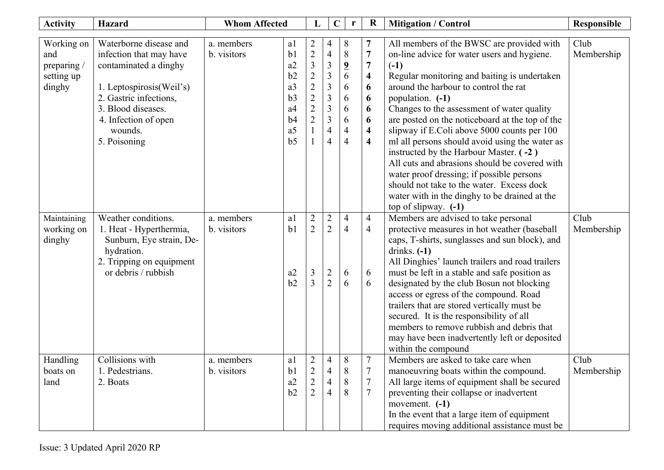| <b>Activity</b>                                         | <b>Hazard</b>                                                                                                                                                                                              | <b>Whom Affected</b>      |                                                                                                           | L                                                                                                                                            | $\mathbf C$                                                                                                                                                         | r                                                                                                    | $\mathbf R$                                                                                                                                  | <b>Mitigation / Control</b>                                                                                                                                                                                                                                                                                                                                                                                                                                                                                                                                                                                                                    | <b>Responsible</b> |
|---------------------------------------------------------|------------------------------------------------------------------------------------------------------------------------------------------------------------------------------------------------------------|---------------------------|-----------------------------------------------------------------------------------------------------------|----------------------------------------------------------------------------------------------------------------------------------------------|---------------------------------------------------------------------------------------------------------------------------------------------------------------------|------------------------------------------------------------------------------------------------------|----------------------------------------------------------------------------------------------------------------------------------------------|------------------------------------------------------------------------------------------------------------------------------------------------------------------------------------------------------------------------------------------------------------------------------------------------------------------------------------------------------------------------------------------------------------------------------------------------------------------------------------------------------------------------------------------------------------------------------------------------------------------------------------------------|--------------------|
| Working on<br>and<br>preparing/<br>setting up<br>dinghy | Waterborne disease and<br>infection that may have<br>contaminated a dinghy<br>1. Leptospirosis (Weil's)<br>2. Gastric infections,<br>3. Blood diseases.<br>4. Infection of open<br>wounds.<br>5. Poisoning | a. members<br>b. visitors | a l<br>b <sub>1</sub><br>a2<br>b2<br>a3<br>b3<br>a <sub>4</sub><br>b4<br>a <sub>5</sub><br>b <sub>5</sub> | $\overline{c}$<br>$\overline{c}$<br>$\mathfrak{Z}$<br>$\overline{2}$<br>$\overline{2}$<br>$\overline{2}$<br>$\overline{2}$<br>$\overline{2}$ | 4<br>$\overline{4}$<br>$\mathfrak{Z}$<br>$\mathfrak{Z}$<br>$\overline{3}$<br>$\mathfrak{Z}$<br>$\overline{3}$<br>$\overline{3}$<br>$\overline{4}$<br>$\overline{4}$ | 8<br>$\,8\,$<br>$\overline{\mathbf{2}}$<br>6<br>6<br>6<br>6<br>6<br>$\overline{4}$<br>$\overline{4}$ | 7<br>$\boldsymbol{7}$<br>$\overline{7}$<br>$\overline{\mathbf{4}}$<br>6<br>6<br>6<br>6<br>$\overline{\mathbf{4}}$<br>$\overline{\mathbf{4}}$ | All members of the BWSC are provided with<br>on-line advice for water users and hygiene.<br>$(-1)$<br>Regular monitoring and baiting is undertaken<br>around the harbour to control the rat<br>population. (-1)<br>Changes to the assessment of water quality<br>are posted on the noticeboard at the top of the<br>slipway if E.Coli above 5000 counts per 100<br>ml all persons should avoid using the water as<br>instructed by the Harbour Master. (-2)<br>All cuts and abrasions should be covered with<br>water proof dressing; if possible persons<br>should not take to the water. Excess dock                                         | Club<br>Membership |
| Maintaining<br>working on<br>dinghy                     | Weather conditions.<br>1. Heat - Hyperthermia,<br>Sunburn, Eye strain, De-<br>hydration.<br>2. Tripping on equipment<br>or debris / rubbish                                                                | a. members<br>b. visitors | a1<br>b <sub>1</sub><br>a2<br>b2                                                                          | $\overline{2}$<br>$\overline{2}$<br>3<br>$\overline{3}$                                                                                      | $\overline{2}$<br>$\overline{2}$<br>$\overline{2}$<br>$\overline{2}$                                                                                                | $\overline{4}$<br>$\overline{4}$<br>6<br>6                                                           | $\overline{4}$<br>$\overline{4}$<br>6<br>6                                                                                                   | water with in the dinghy to be drained at the<br>top of slipway. $(-1)$<br>Members are advised to take personal<br>protective measures in hot weather (baseball<br>caps, T-shirts, sunglasses and sun block), and<br>drinks. $(-1)$<br>All Dinghies' launch trailers and road trailers<br>must be left in a stable and safe position as<br>designated by the club Bosun not blocking<br>access or egress of the compound. Road<br>trailers that are stored vertically must be<br>secured. It is the responsibility of all<br>members to remove rubbish and debris that<br>may have been inadvertently left or deposited<br>within the compound | Club<br>Membership |
| Handling<br>boats on<br>land                            | Collisions with<br>1. Pedestrians.<br>2. Boats                                                                                                                                                             | a. members<br>b. visitors | a1<br>b <sub>1</sub><br>a2<br>b2                                                                          | $\overline{2}$<br>$\Delta$<br>$\overline{2}$<br>$\overline{2}$                                                                               | $\overline{4}$<br>$\overline{4}$<br>4<br>4                                                                                                                          | 8<br>$\,8\,$<br>8<br>8                                                                               | $\tau$<br>$\mathbf{r}$<br>$\tau$<br>$\tau$                                                                                                   | Members are asked to take care when<br>manoeuvring boats within the compound.<br>All large items of equipment shall be secured<br>preventing their collapse or inadvertent<br>movement. $(-1)$<br>In the event that a large item of equipment<br>requires moving additional assistance must be                                                                                                                                                                                                                                                                                                                                                 | Club<br>Membership |